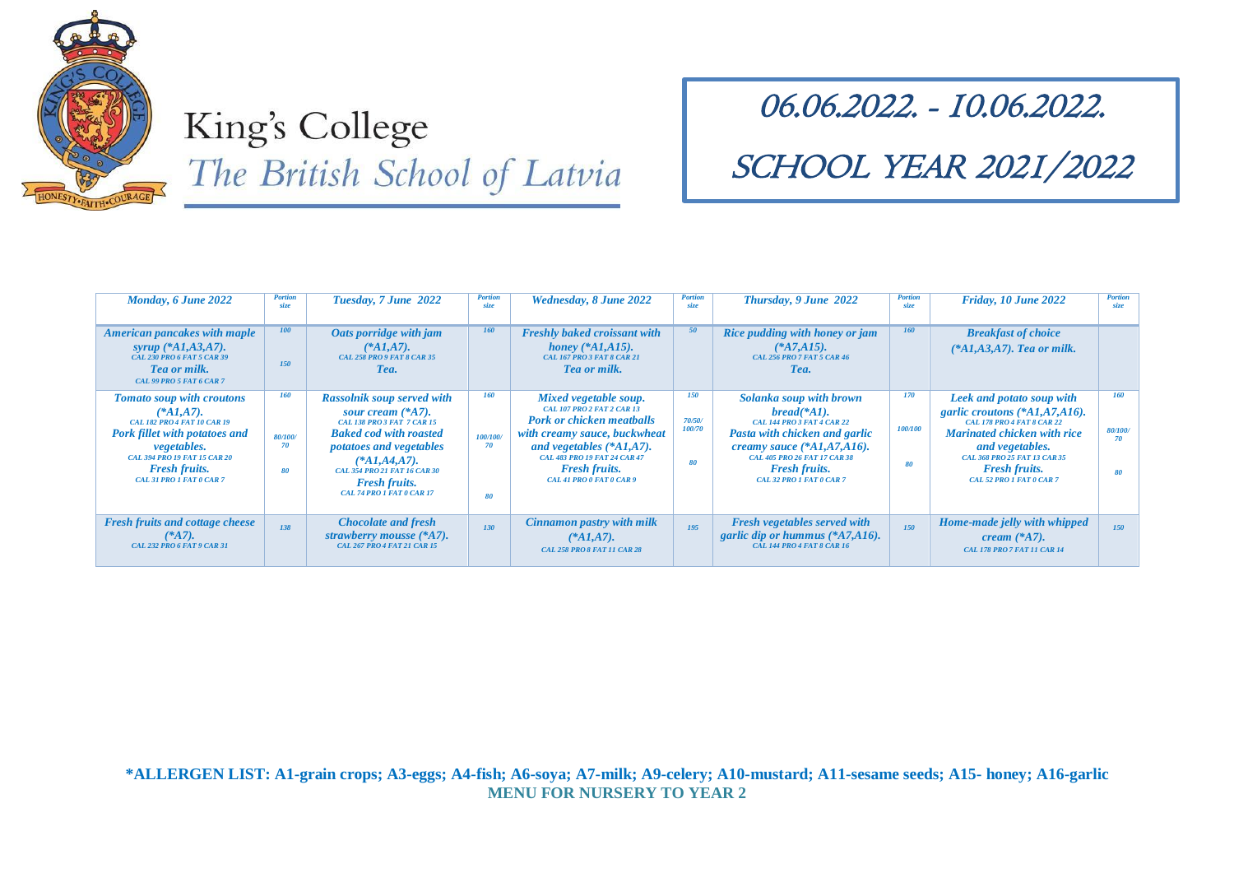

# King's College The British School of Latvia

#### 06.06.2022. - 10.06.2022.

### SCHOOL YEAR 2021/2022

| Monday, 6 June 2022                                                                                                                                                                                                                      | <b>Portion</b><br>size            | Tuesday, 7 June 2022                                                                                                                                                                                                                                                      | <b>Portion</b><br>size             | Wednesday, 8 June 2022                                                                                                                                                                                                                                  | <b>Portion</b><br>size               | Thursday, 9 June 2022                                                                                                                                                                                                                | <b>Portion</b><br>size | Friday, 10 June 2022                                                                                                                                                                                                                             | <b>Portion</b><br>size |
|------------------------------------------------------------------------------------------------------------------------------------------------------------------------------------------------------------------------------------------|-----------------------------------|---------------------------------------------------------------------------------------------------------------------------------------------------------------------------------------------------------------------------------------------------------------------------|------------------------------------|---------------------------------------------------------------------------------------------------------------------------------------------------------------------------------------------------------------------------------------------------------|--------------------------------------|--------------------------------------------------------------------------------------------------------------------------------------------------------------------------------------------------------------------------------------|------------------------|--------------------------------------------------------------------------------------------------------------------------------------------------------------------------------------------------------------------------------------------------|------------------------|
| <b>American pancakes with maple</b><br>syrup $(*A1, A3, A7).$<br>CAL 230 PRO 6 FAT 5 CAR 39<br><b>Tea or milk.</b><br>CAL 99 PRO 5 FAT 6 CAR 7                                                                                           | 100<br><b>150</b>                 | Oats porridge with jam<br>$(*A1, A7).$<br><b>CAL 258 PRO 9 FAT 8 CAR 35</b><br>Tea.                                                                                                                                                                                       | <b>160</b>                         | <b>Freshly baked croissant with</b><br><i>honey</i> (* $AI, A15$ ).<br><b>CAL 167 PRO 3 FAT 8 CAR 21</b><br>Tea or milk.                                                                                                                                | 50                                   | Rice pudding with honey or jam<br>$(*A7, A15).$<br><b>CAL 256 PRO 7 FAT 5 CAR 46</b><br>Tea.                                                                                                                                         | 160                    | <b>Breakfast of choice</b><br>$(*A1, A3, A7)$ . Tea or milk.                                                                                                                                                                                     |                        |
| Tomato soup with croutons<br>$(*A1, A7).$<br><b>CAL 182 PRO 4 FAT 10 CAR 19</b><br><b>Pork fillet with potatoes and</b><br><i>vegetables.</i><br><b>CAL 394 PRO 19 FAT 15 CAR 20</b><br><b>Fresh fruits.</b><br>CAL 31 PRO 1 FAT 0 CAR 7 | <b>160</b><br>80/100/<br>70<br>80 | <b>Rassolnik soup served with</b><br>sour cream $(*A7)$ .<br><b>CAL 138 PRO3 FAT 7 CAR 15</b><br><b>Baked cod with roasted</b><br><i>potatoes and vegetables</i><br>$(*A1, A4, A7).$<br>CAL 354 PRO 21 FAT 16 CAR 30<br><b>Fresh fruits.</b><br>CAL 74 PRO 1 FAT 0 CAR 17 | <b>160</b><br>100/100/<br>70<br>80 | Mixed vegetable soup.<br><b>CAL 107 PRO 2 FAT 2 CAR 13</b><br><b>Pork or chicken meatballs</b><br>with creamy sauce, buckwheat<br>and vegetables $(*A1,A7).$<br><b>CAL 483 PRO 19 FAT 24 CAR 47</b><br><b>Fresh fruits.</b><br>CAL 41 PRO 0 FAT 0 CAR 9 | <b>150</b><br>70/50/<br>100/70<br>80 | Solanka soup with brown<br>$bread(*A1).$<br><b>CAL 144 PRO 3 FAT 4 CAR 22</b><br>Pasta with chicken and garlic<br>creamy sauce $(*A1, A7, A16).$<br>CAL 405 PRO 26 FAT 17 CAR 38<br><b>Fresh fruits.</b><br>CAL 32 PRO 1 FAT 0 CAR 7 | 170<br>100/100<br>80   | Leek and potato soup with<br>garlic croutons $(*A1, A7, A16).$<br>CAL 178 PRO 4 FAT 8 CAR 22<br><b>Marinated chicken with rice</b><br>and vegetables.<br><b>CAL 368 PRO 25 FAT 13 CAR 35</b><br><b>Fresh fruits.</b><br>CAL 52 PRO 1 FAT 0 CAR 7 | 160<br>80/100/<br>70   |
| <b>Fresh fruits and cottage cheese</b><br>$(*A7).$<br><b>CAL 232 PRO 6 FAT 9 CAR 31</b>                                                                                                                                                  | 138                               | <b>Chocolate and fresh</b><br>strawberry mousse (*A7).<br><b>CAL 267 PRO 4 FAT 21 CAR 15</b>                                                                                                                                                                              | 130                                | Cinnamon pastry with milk<br>$(*A1, A7).$<br><b>CAL 258 PRO 8 FAT 11 CAR 28</b>                                                                                                                                                                         | 195                                  | Fresh vegetables served with<br>garlic dip or hummus $(*A7, A16).$<br><b>CAL 144 PRO 4 FAT 8 CAR 16</b>                                                                                                                              | 150                    | Home-made jelly with whipped<br>cream $(*A7).$<br>CAL 178 PRO 7 FAT 11 CAR 14                                                                                                                                                                    | 150                    |

**\*ALLERGEN LIST: A1-grain crops; A3-eggs; A4-fish; A6-soya; A7-milk; A9-celery; A10-mustard; A11-sesame seeds; A15- honey; A16-garlic MENU FOR NURSERY TO YEAR 2**